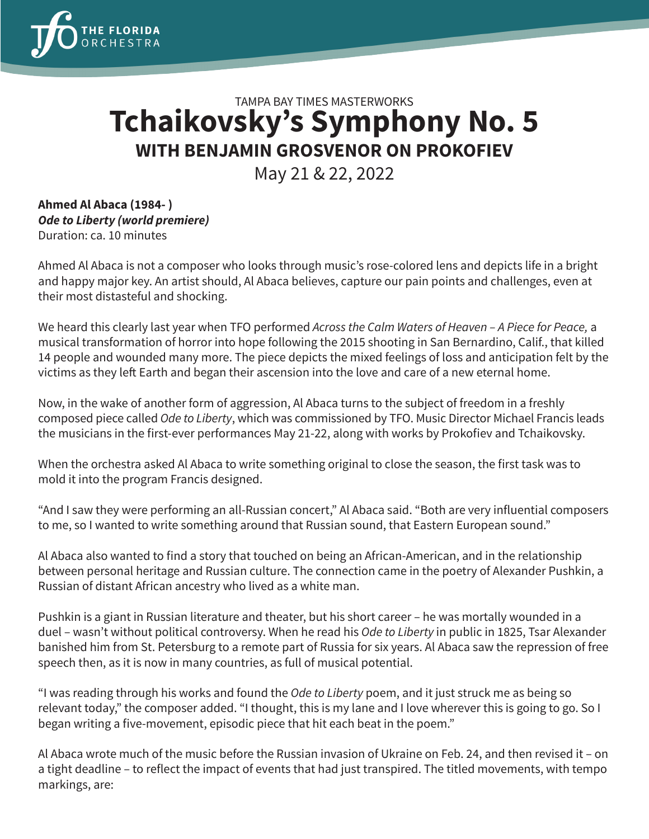

## TAMPA BAY TIMES MASTERWORKS **Tchaikovsky's Symphony No. 5 WITH BENJAMIN GROSVENOR ON PROKOFIEV**

May 21 & 22, 2022

**Ahmed Al Abaca (1984- )** *Ode to Liberty (world premiere)* Duration: ca. 10 minutes

Ahmed Al Abaca is not a composer who looks through music's rose-colored lens and depicts life in a bright and happy major key. An artist should, Al Abaca believes, capture our pain points and challenges, even at their most distasteful and shocking.

We heard this clearly last year when TFO performed *Across the Calm Waters of Heaven – A Piece for Peace,* a musical transformation of horror into hope following the 2015 shooting in San Bernardino, Calif., that killed 14 people and wounded many more. The piece depicts the mixed feelings of loss and anticipation felt by the victims as they left Earth and began their ascension into the love and care of a new eternal home.

Now, in the wake of another form of aggression, Al Abaca turns to the subject of freedom in a freshly composed piece called *Ode to Liberty*, which was commissioned by TFO. Music Director Michael Francis leads the musicians in the first-ever performances May 21-22, along with works by Prokofiev and Tchaikovsky.

When the orchestra asked Al Abaca to write something original to close the season, the first task was to mold it into the program Francis designed.

"And I saw they were performing an all-Russian concert," Al Abaca said. "Both are very influential composers to me, so I wanted to write something around that Russian sound, that Eastern European sound."

Al Abaca also wanted to find a story that touched on being an African-American, and in the relationship between personal heritage and Russian culture. The connection came in the poetry of Alexander Pushkin, a Russian of distant African ancestry who lived as a white man.

Pushkin is a giant in Russian literature and theater, but his short career – he was mortally wounded in a duel – wasn't without political controversy. When he read his *Ode to Liberty* in public in 1825, Tsar Alexander banished him from St. Petersburg to a remote part of Russia for six years. Al Abaca saw the repression of free speech then, as it is now in many countries, as full of musical potential.

"I was reading through his works and found the *Ode to Liberty* poem, and it just struck me as being so relevant today," the composer added. "I thought, this is my lane and I love wherever this is going to go. So I began writing a five-movement, episodic piece that hit each beat in the poem."

Al Abaca wrote much of the music before the Russian invasion of Ukraine on Feb. 24, and then revised it – on a tight deadline – to reflect the impact of events that had just transpired. The titled movements, with tempo markings, are: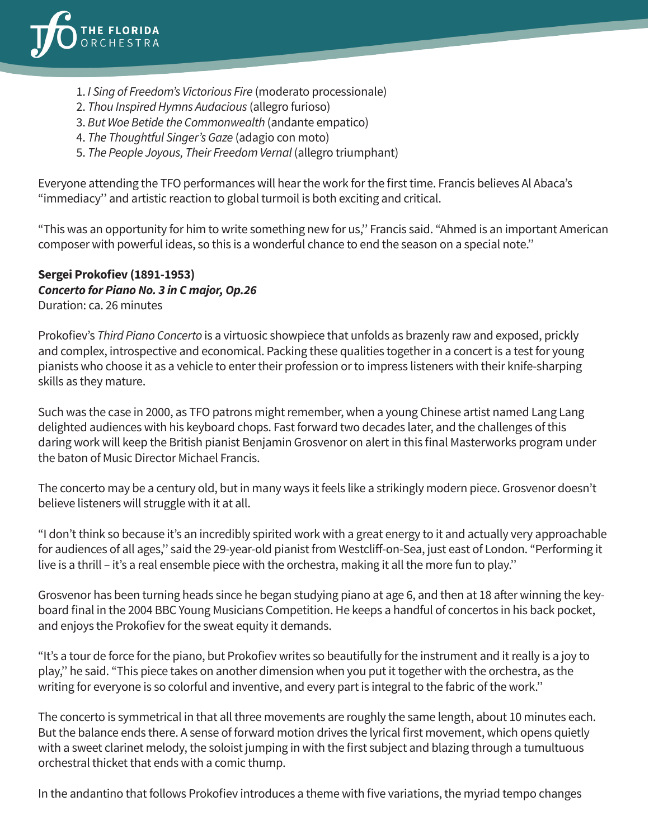

- 1. *I Sing of Freedom's Victorious Fire* (moderato processionale)
- 2. *Thou Inspired Hymns Audacious* (allegro furioso)
- 3. *But Woe Betide the Commonwealth* (andante empatico)
- 4. *The Thoughtful Singer's Gaze* (adagio con moto)
- 5. *The People Joyous, Their Freedom Vernal* (allegro triumphant)

Everyone attending the TFO performances will hear the work for the first time. Francis believes Al Abaca's "immediacy'' and artistic reaction to global turmoil is both exciting and critical.

"This was an opportunity for him to write something new for us,'' Francis said. "Ahmed is an important American composer with powerful ideas, so this is a wonderful chance to end the season on a special note.''

## **Sergei Prokofiev (1891-1953)** *Concerto for Piano No. 3 in C major, Op.26*

Duration: ca. 26 minutes

Prokofiev's *Third Piano Concerto* is a virtuosic showpiece that unfolds as brazenly raw and exposed, prickly and complex, introspective and economical. Packing these qualities together in a concert is a test for young pianists who choose it as a vehicle to enter their profession or to impress listeners with their knife-sharping skills as they mature.

Such was the case in 2000, as TFO patrons might remember, when a young Chinese artist named Lang Lang delighted audiences with his keyboard chops. Fast forward two decades later, and the challenges of this daring work will keep the British pianist Benjamin Grosvenor on alert in this final Masterworks program under the baton of Music Director Michael Francis.

The concerto may be a century old, but in many ways it feels like a strikingly modern piece. Grosvenor doesn't believe listeners will struggle with it at all.

"I don't think so because it's an incredibly spirited work with a great energy to it and actually very approachable for audiences of all ages,'' said the 29-year-old pianist from Westcliff-on-Sea, just east of London. "Performing it live is a thrill – it's a real ensemble piece with the orchestra, making it all the more fun to play.''

Grosvenor has been turning heads since he began studying piano at age 6, and then at 18 after winning the keyboard final in the 2004 BBC Young Musicians Competition. He keeps a handful of concertos in his back pocket, and enjoys the Prokofiev for the sweat equity it demands.

"It's a tour de force for the piano, but Prokofiev writes so beautifully for the instrument and it really is a joy to play,'' he said. "This piece takes on another dimension when you put it together with the orchestra, as the writing for everyone is so colorful and inventive, and every part is integral to the fabric of the work.''

The concerto is symmetrical in that all three movements are roughly the same length, about 10 minutes each. But the balance ends there. A sense of forward motion drives the lyrical first movement, which opens quietly with a sweet clarinet melody, the soloist jumping in with the first subject and blazing through a tumultuous orchestral thicket that ends with a comic thump.

In the andantino that follows Prokofiev introduces a theme with five variations, the myriad tempo changes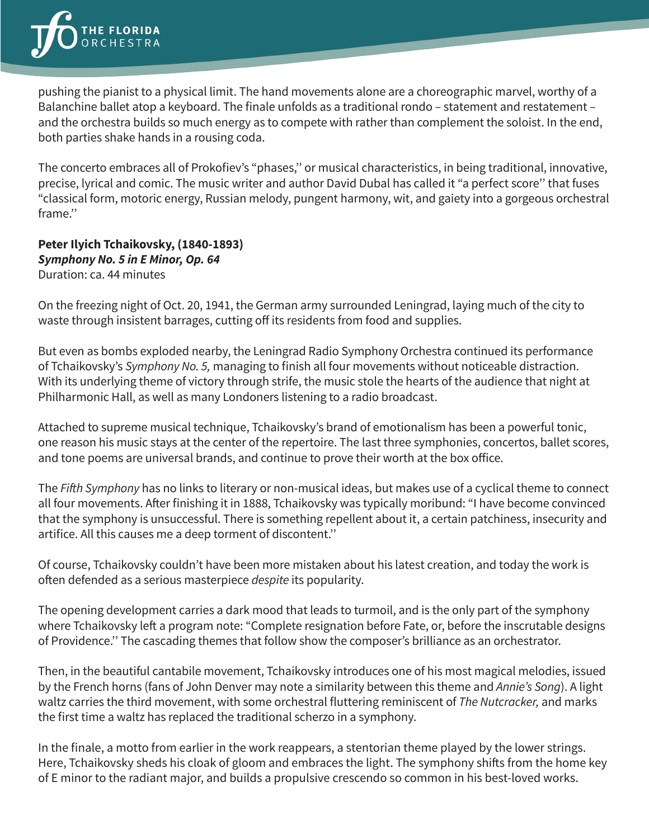pushing the pianist to a physical limit. The hand movements alone are a choreographic marvel, worthy of a Balanchine ballet atop a keyboard. The finale unfolds as a traditional rondo – statement and restatement – and the orchestra builds so much energy as to compete with rather than complement the soloist. In the end, both parties shake hands in a rousing coda.

The concerto embraces all of Prokofiev's "phases,'' or musical characteristics, in being traditional, innovative, precise, lyrical and comic. The music writer and author David Dubal has called it "a perfect score'' that fuses "classical form, motoric energy, Russian melody, pungent harmony, wit, and gaiety into a gorgeous orchestral frame.''

## **Peter Ilyich Tchaikovsky, (1840-1893)** *Symphony No. 5 in E Minor, Op. 64* Duration: ca. 44 minutes

On the freezing night of Oct. 20, 1941, the German army surrounded Leningrad, laying much of the city to waste through insistent barrages, cutting off its residents from food and supplies.

But even as bombs exploded nearby, the Leningrad Radio Symphony Orchestra continued its performance of Tchaikovsky's *Symphony No. 5,* managing to finish all four movements without noticeable distraction. With its underlying theme of victory through strife, the music stole the hearts of the audience that night at Philharmonic Hall, as well as many Londoners listening to a radio broadcast.

Attached to supreme musical technique, Tchaikovsky's brand of emotionalism has been a powerful tonic, one reason his music stays at the center of the repertoire. The last three symphonies, concertos, ballet scores, and tone poems are universal brands, and continue to prove their worth at the box office.

The Fifth Symphony has no links to literary or non-musical ideas, but makes use of a cyclical theme to connect all four movements. After finishing it in 1888, Tchaikovsky was typically moribund: "I have become convinced that the symphony is unsuccessful. There is something repellent about it, a certain patchiness, insecurity and artifice. All this causes me a deep torment of discontent.''

Of course, Tchaikovsky couldn't have been more mistaken about his latest creation, and today the work is often defended as a serious masterpiece *despite* its popularity.

The opening development carries a dark mood that leads to turmoil, and is the only part of the symphony where Tchaikovsky left a program note: "Complete resignation before Fate, or, before the inscrutable designs of Providence.'' The cascading themes that follow show the composer's brilliance as an orchestrator.

Then, in the beautiful cantabile movement, Tchaikovsky introduces one of his most magical melodies, issued by the French horns (fans of John Denver may note a similarity between this theme and *Annie's Song*). A light waltz carries the third movement, with some orchestral fluttering reminiscent of *The Nutcracker,* and marks the first time a waltz has replaced the traditional scherzo in a symphony.

In the finale, a motto from earlier in the work reappears, a stentorian theme played by the lower strings. Here, Tchaikovsky sheds his cloak of gloom and embraces the light. The symphony shifts from the home key of E minor to the radiant major, and builds a propulsive crescendo so common in his best-loved works.